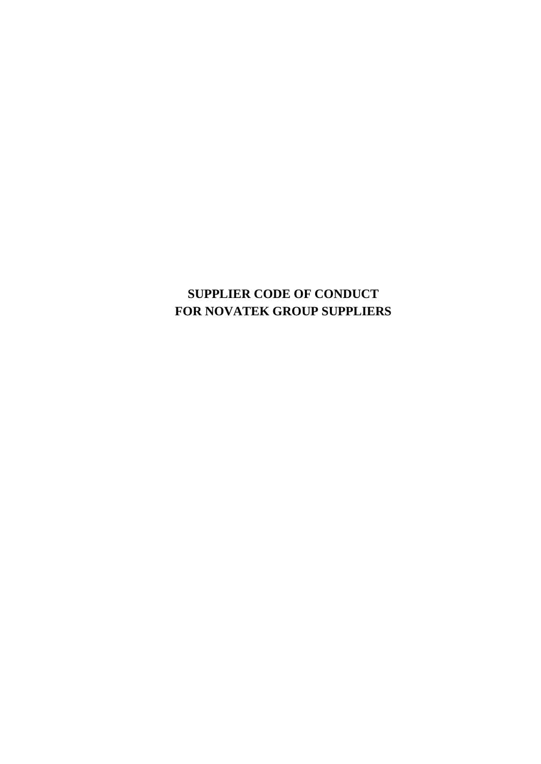# **SUPPLIER CODE OF CONDUCT FOR NOVATEK GROUP SUPPLIERS**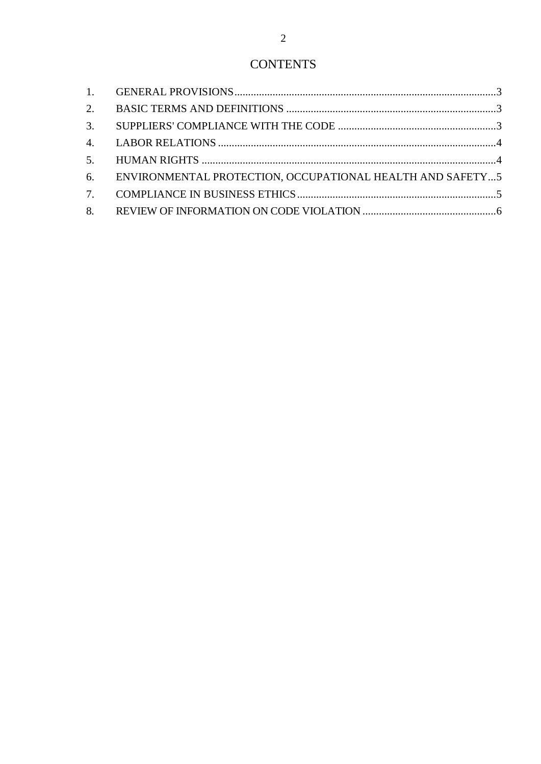| 6. ENVIRONMENTAL PROTECTION, OCCUPATIONAL HEALTH AND SAFETY5 |  |
|--------------------------------------------------------------|--|
|                                                              |  |
|                                                              |  |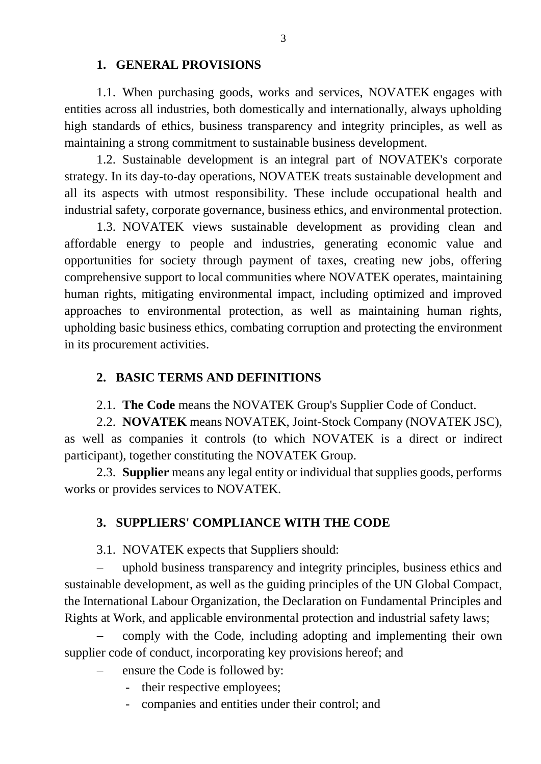#### **1. GENERAL PROVISIONS**

<span id="page-2-0"></span>1.1. When purchasing goods, works and services, NOVATEK engages with entities across all industries, both domestically and internationally, always upholding high standards of ethics, business transparency and integrity principles, as well as maintaining a strong commitment to sustainable business development.

1.2. Sustainable development is an integral part of NOVATEK's corporate strategy. In its day-to-day operations, NOVATEK treats sustainable development and all its aspects with utmost responsibility. These include occupational health and industrial safety, corporate governance, business ethics, and environmental protection.

1.3. NOVATEK views sustainable development as providing clean and affordable energy to people and industries, generating economic value and opportunities for society through payment of taxes, creating new jobs, offering comprehensive support to local communities where NOVATEK operates, maintaining human rights, mitigating environmental impact, including optimized and improved approaches to environmental protection, as well as maintaining human rights, upholding basic business ethics, combating corruption and protecting the environment in its procurement activities.

#### <span id="page-2-1"></span>**2. BASIC TERMS AND DEFINITIONS**

2.1. **The Code** means the NOVATEK Group's Supplier Code of Conduct.

2.2. **NOVATEK** means NOVATEK, Joint-Stock Company (NOVATEK JSC), as well as companies it controls (to which NOVATEK is a direct or indirect participant), together constituting the NOVATEK Group.

<span id="page-2-2"></span>2.3. **Supplier** means any legal entity or individual that supplies goods, performs works or provides services to NOVATEK.

### **3. SUPPLIERS' COMPLIANCE WITH THE CODE**

3.1. NOVATEK expects that Suppliers should:

 uphold business transparency and integrity principles, business ethics and sustainable development, as well as the guiding principles of the UN Global Compact, the International Labour Organization, the Declaration on Fundamental Principles and Rights at Work, and applicable environmental protection and industrial safety laws;

 comply with the Code, including adopting and implementing their own supplier code of conduct, incorporating key provisions hereof; and

- ensure the Code is followed by:
	- their respective employees;
	- companies and entities under their control; and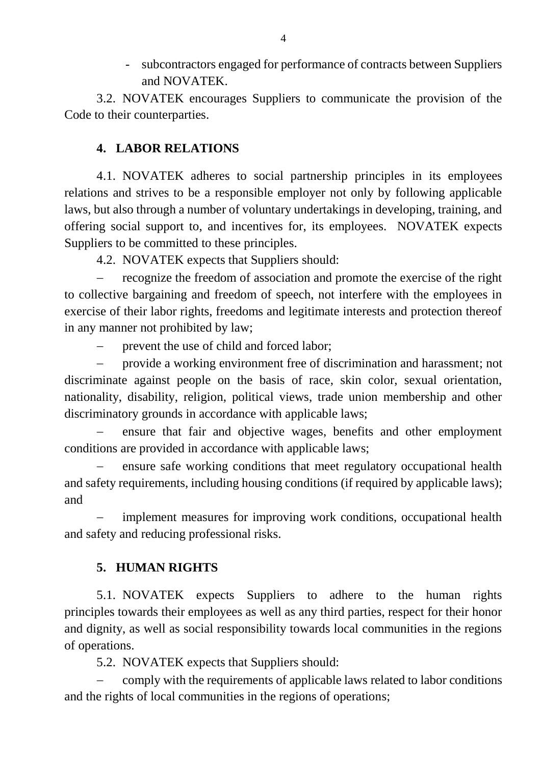- subcontractors engaged for performance of contracts between Suppliers and NOVATEK.

<span id="page-3-0"></span>3.2. NOVATEK encourages Suppliers to communicate the provision of the Code to their counterparties.

### **4. LABOR RELATIONS**

4.1. NOVATEK adheres to social partnership principles in its employees relations and strives to be a responsible employer not only by following applicable laws, but also through a number of voluntary undertakings in developing, training, and offering social support to, and incentives for, its employees. NOVATEK expects Suppliers to be committed to these principles.

4.2. NOVATEK expects that Suppliers should:

 recognize the freedom of association and promote the exercise of the right to collective bargaining and freedom of speech, not interfere with the employees in exercise of their labor rights, freedoms and legitimate interests and protection thereof in any manner not prohibited by law;

prevent the use of child and forced labor;

 provide a working environment free of discrimination and harassment; not discriminate against people on the basis of race, skin color, sexual orientation, nationality, disability, religion, political views, trade union membership and other discriminatory grounds in accordance with applicable laws;

 ensure that fair and objective wages, benefits and other employment conditions are provided in accordance with applicable laws;

 ensure safe working conditions that meet regulatory occupational health and safety requirements, including housing conditions (if required by applicable laws); and

<span id="page-3-1"></span> implement measures for improving work conditions, occupational health and safety and reducing professional risks.

## **5. HUMAN RIGHTS**

5.1. NOVATEK expects Suppliers to adhere to the human rights principles towards their employees as well as any third parties, respect for their honor and dignity, as well as social responsibility towards local communities in the regions of operations.

5.2. NOVATEK expects that Suppliers should:

 comply with the requirements of applicable laws related to labor conditions and the rights of local communities in the regions of operations;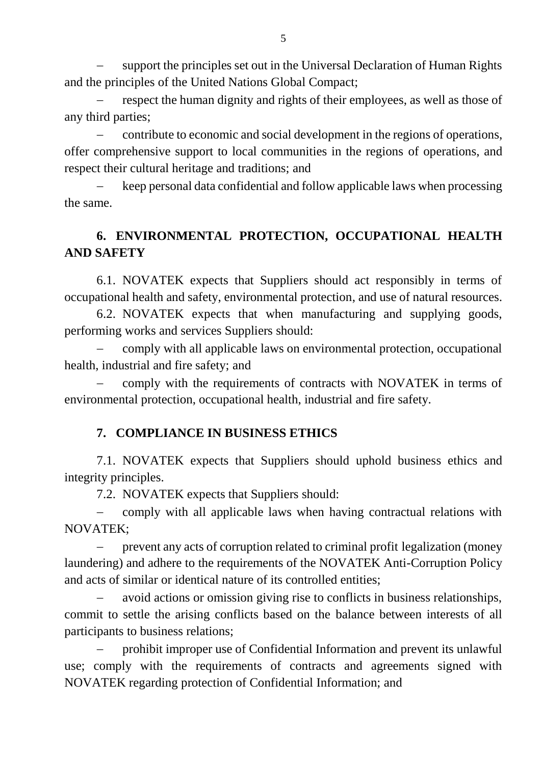support the principles set out in the Universal Declaration of Human Rights and the principles of the United Nations Global Compact;

 respect the human dignity and rights of their employees, as well as those of any third parties;

 contribute to economic and social development in the regions of operations, offer comprehensive support to local communities in the regions of operations, and respect their cultural heritage and traditions; and

 keep personal data confidential and follow applicable laws when processing the same.

## <span id="page-4-0"></span>**6. ENVIRONMENTAL PROTECTION, OCCUPATIONAL HEALTH AND SAFETY**

6.1. NOVATEK expects that Suppliers should act responsibly in terms of occupational health and safety, environmental protection, and use of natural resources.

6.2. NOVATEK expects that when manufacturing and supplying goods, performing works and services Suppliers should:

 comply with all applicable laws on environmental protection, occupational health, industrial and fire safety; and

<span id="page-4-1"></span> comply with the requirements of contracts with NOVATEK in terms of environmental protection, occupational health, industrial and fire safety.

### **7. COMPLIANCE IN BUSINESS ETHICS**

7.1. NOVATEK expects that Suppliers should uphold business ethics and integrity principles.

7.2. NOVATEK expects that Suppliers should:

 comply with all applicable laws when having contractual relations with NOVATEK;

 prevent any acts of corruption related to criminal profit legalization (money laundering) and adhere to the requirements of the NOVATEK Anti-Corruption Policy and acts of similar or identical nature of its controlled entities;

 avoid actions or omission giving rise to conflicts in business relationships, commit to settle the arising conflicts based on the balance between interests of all participants to business relations;

 prohibit improper use of Confidential Information and prevent its unlawful use; comply with the requirements of contracts and agreements signed with NOVATEK regarding protection of Confidential Information; and